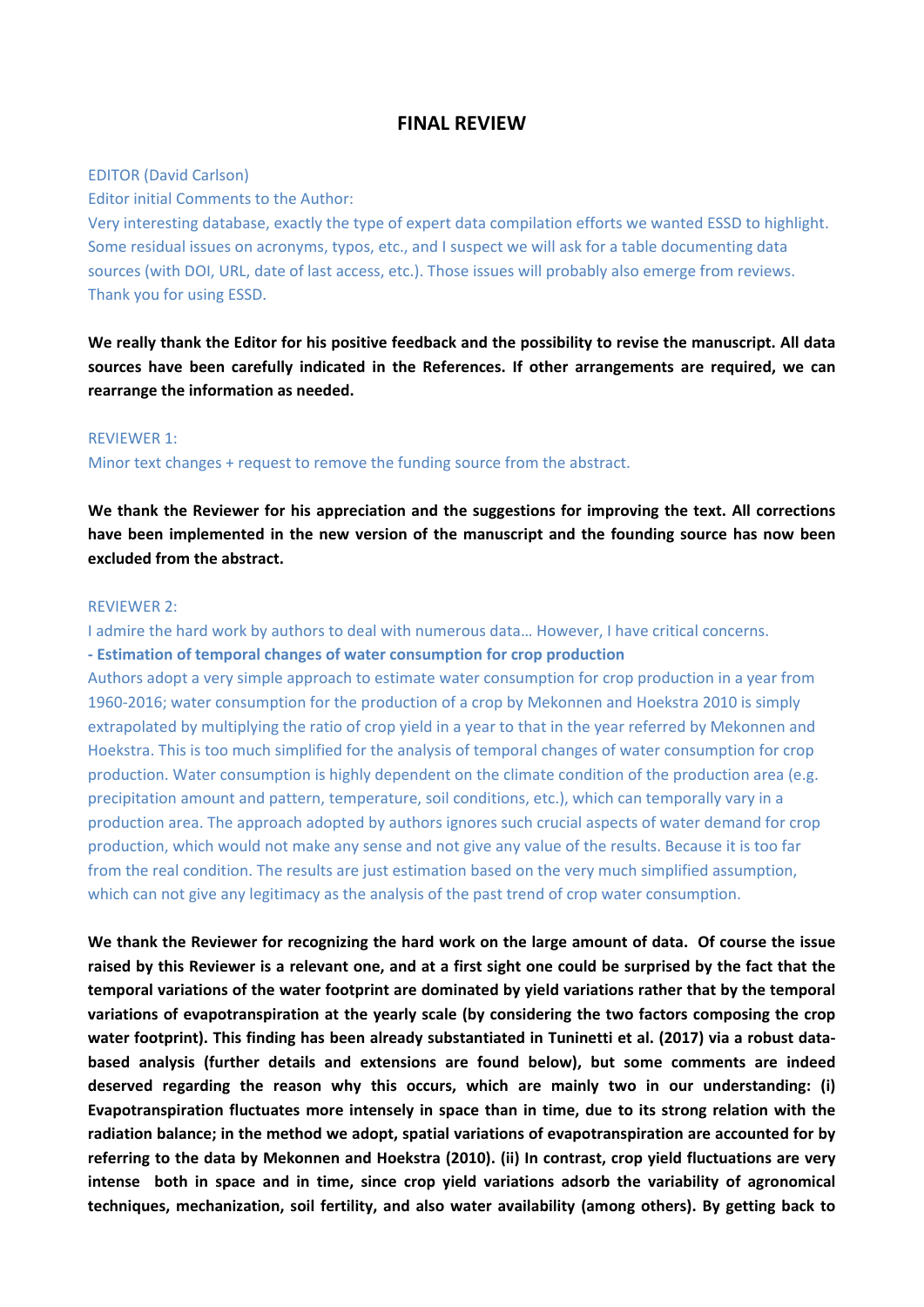# **FINAL REVIEW**

## EDITOR (David Carlson)

Editor initial Comments to the Author:

Very interesting database, exactly the type of expert data compilation efforts we wanted ESSD to highlight. Some residual issues on acronyms, typos, etc., and I suspect we will ask for a table documenting data sources (with DOI, URL, date of last access, etc.). Those issues will probably also emerge from reviews. Thank you for using ESSD.

**We really thank the Editor for his positive feedback and the possibility to revise the manuscript. All data sources have been carefully indicated in the References. If other arrangements are required, we can rearrange the information as needed.** 

#### REVIEWER 1:

Minor text changes + request to remove the funding source from the abstract.

**We thank the Reviewer for his appreciation and the suggestions for improving the text. All corrections have been implemented in the new version of the manuscript and the founding source has now been excluded from the abstract.** 

# REVIEWER 2:

I admire the hard work by authors to deal with numerous data… However, I have critical concerns. **- Estimation of temporal changes of water consumption for crop production**

Authors adopt a very simple approach to estimate water consumption for crop production in a year from 1960-2016; water consumption for the production of a crop by Mekonnen and Hoekstra 2010 is simply extrapolated by multiplying the ratio of crop yield in a year to that in the year referred by Mekonnen and Hoekstra. This is too much simplified for the analysis of temporal changes of water consumption for crop production. Water consumption is highly dependent on the climate condition of the production area (e.g. precipitation amount and pattern, temperature, soil conditions, etc.), which can temporally vary in a production area. The approach adopted by authors ignores such crucial aspects of water demand for crop production, which would not make any sense and not give any value of the results. Because it is too far from the real condition. The results are just estimation based on the very much simplified assumption, which can not give any legitimacy as the analysis of the past trend of crop water consumption.

**We thank the Reviewer for recognizing the hard work on the large amount of data. Of course the issue raised by this Reviewer is a relevant one, and at a first sight one could be surprised by the fact that the temporal variations of the water footprint are dominated by yield variations rather that by the temporal variations of evapotranspiration at the yearly scale (by considering the two factors composing the crop water footprint). This finding has been already substantiated in Tuninetti et al. (2017) via a robust databased analysis (further details and extensions are found below), but some comments are indeed deserved regarding the reason why this occurs, which are mainly two in our understanding: (i) Evapotranspiration fluctuates more intensely in space than in time, due to its strong relation with the radiation balance; in the method we adopt, spatial variations of evapotranspiration are accounted for by referring to the data by Mekonnen and Hoekstra (2010). (ii) In contrast, crop yield fluctuations are very intense both in space and in time, since crop yield variations adsorb the variability of agronomical techniques, mechanization, soil fertility, and also water availability (among others). By getting back to**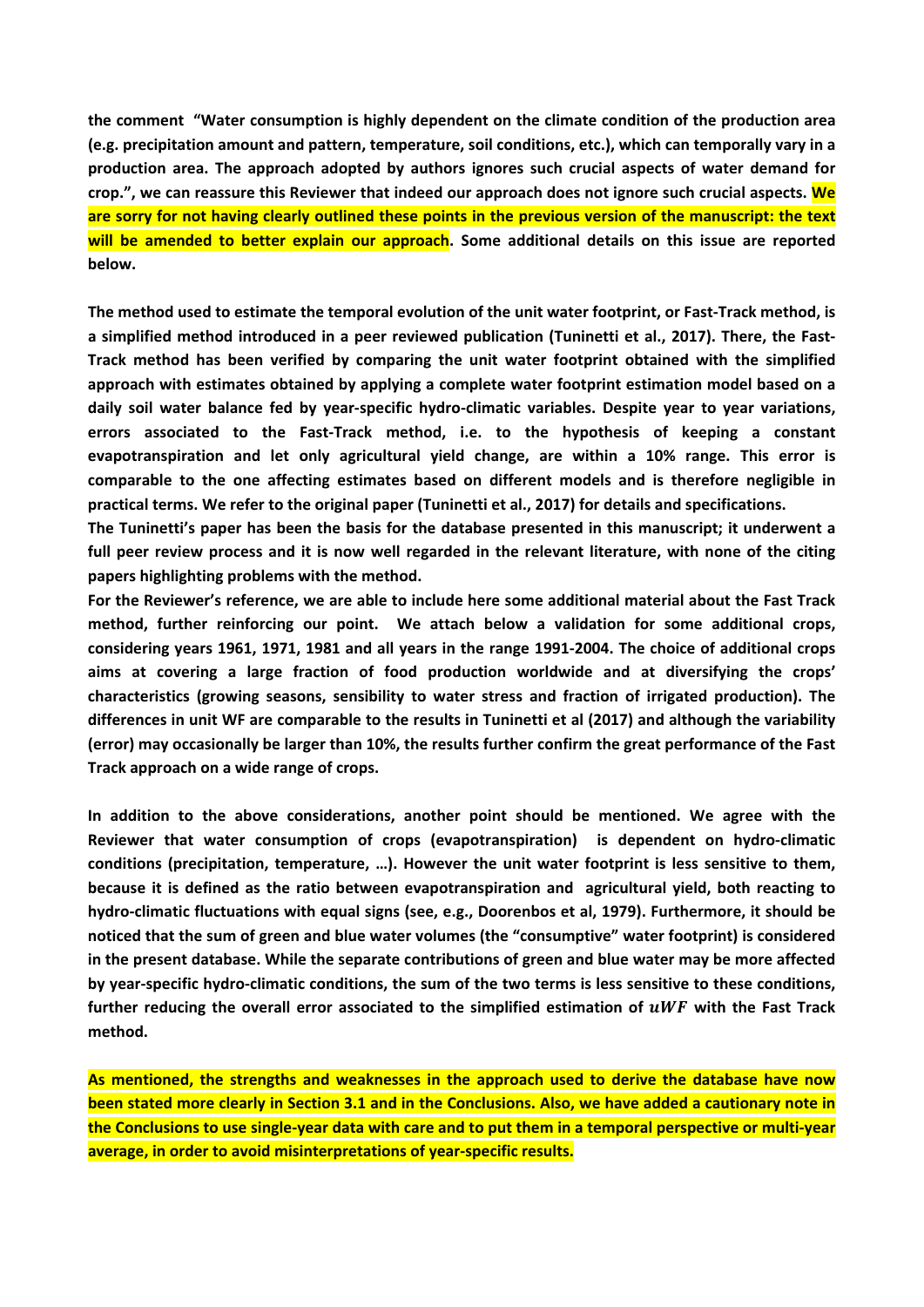**the comment "Water consumption is highly dependent on the climate condition of the production area (e.g. precipitation amount and pattern, temperature, soil conditions, etc.), which can temporally vary in a production area. The approach adopted by authors ignores such crucial aspects of water demand for crop.", we can reassure this Reviewer that indeed our approach does not ignore such crucial aspects. We are sorry for not having clearly outlined these points in the previous version of the manuscript: the text will be amended to better explain our approach. Some additional details on this issue are reported below.** 

**The method used to estimate the temporal evolution of the unit water footprint, or Fast-Track method, is a simplified method introduced in a peer reviewed publication (Tuninetti et al., 2017). There, the Fast-Track method has been verified by comparing the unit water footprint obtained with the simplified approach with estimates obtained by applying a complete water footprint estimation model based on a daily soil water balance fed by year-specific hydro-climatic variables. Despite year to year variations, errors associated to the Fast-Track method, i.e. to the hypothesis of keeping a constant evapotranspiration and let only agricultural yield change, are within a 10% range. This error is comparable to the one affecting estimates based on different models and is therefore negligible in practical terms. We refer to the original paper (Tuninetti et al., 2017) for details and specifications.**

**The Tuninetti's paper has been the basis for the database presented in this manuscript; it underwent a full peer review process and it is now well regarded in the relevant literature, with none of the citing papers highlighting problems with the method.** 

**For the Reviewer's reference, we are able to include here some additional material about the Fast Track method, further reinforcing our point. We attach below a validation for some additional crops, considering years 1961, 1971, 1981 and all years in the range 1991-2004. The choice of additional crops aims at covering a large fraction of food production worldwide and at diversifying the crops' characteristics (growing seasons, sensibility to water stress and fraction of irrigated production). The differences in unit WF are comparable to the results in Tuninetti et al (2017) and although the variability (error) may occasionally be larger than 10%, the results further confirm the great performance of the Fast Track approach on a wide range of crops.**

**In addition to the above considerations, another point should be mentioned. We agree with the Reviewer that water consumption of crops (evapotranspiration) is dependent on hydro-climatic conditions (precipitation, temperature, …). However the unit water footprint is less sensitive to them, because it is defined as the ratio between evapotranspiration and agricultural yield, both reacting to hydro-climatic fluctuations with equal signs (see, e.g., Doorenbos et al, 1979). Furthermore, it should be noticed that the sum of green and blue water volumes (the "consumptive" water footprint) is considered in the present database. While the separate contributions of green and blue water may be more affected by year-specific hydro-climatic conditions, the sum of the two terms is less sensitive to these conditions,**  further reducing the overall error associated to the simplified estimation of  $\mu WF$  with the Fast Track **method.**

**As mentioned, the strengths and weaknesses in the approach used to derive the database have now been stated more clearly in Section 3.1 and in the Conclusions. Also, we have added a cautionary note in the Conclusions to use single-year data with care and to put them in a temporal perspective or multi-year average, in order to avoid misinterpretations of year-specific results.**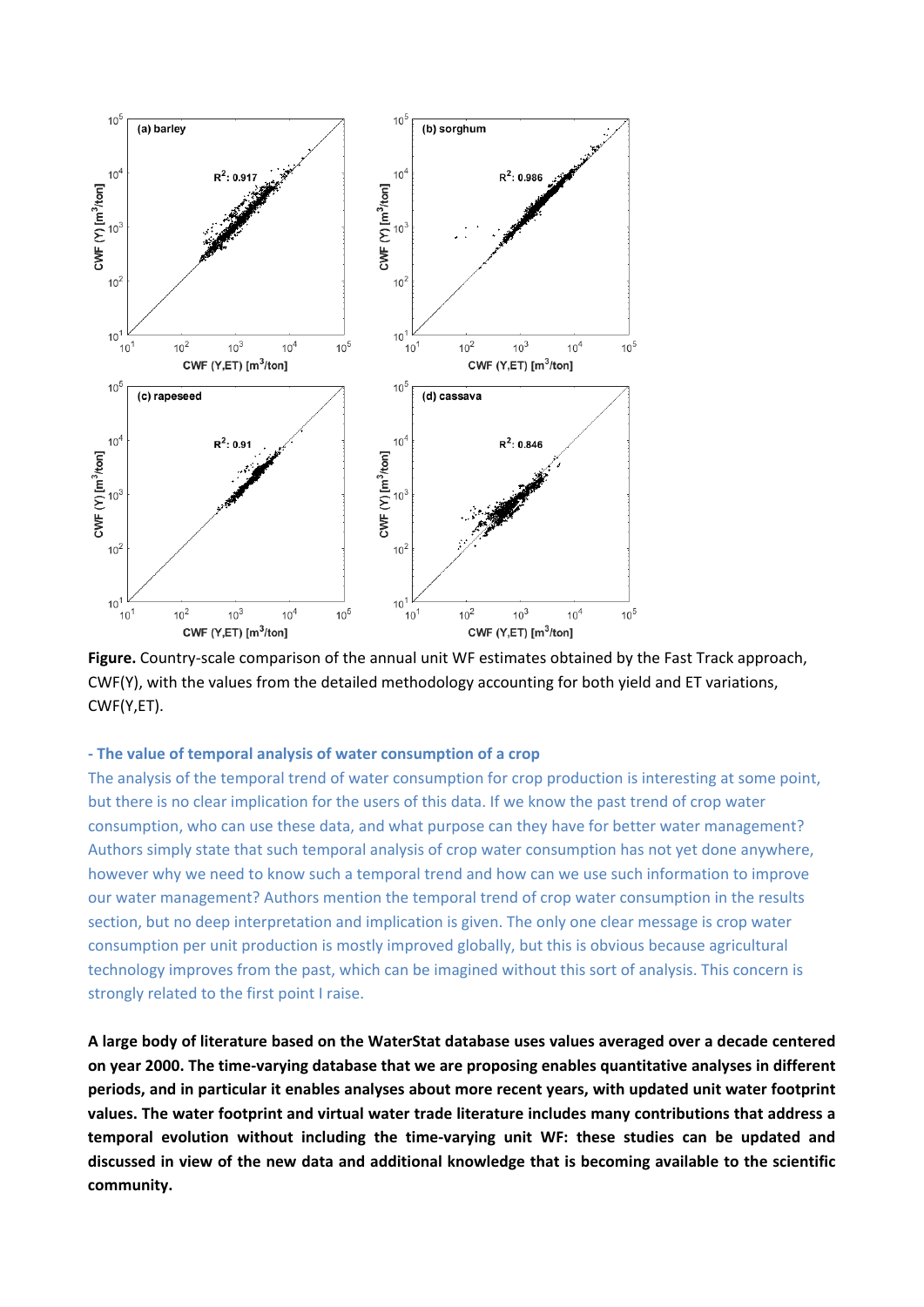

**Figure.** Country-scale comparison of the annual unit WF estimates obtained by the Fast Track approach, CWF(Y), with the values from the detailed methodology accounting for both yield and ET variations, CWF(Y,ET).

# **- The value of temporal analysis of water consumption of a crop**

The analysis of the temporal trend of water consumption for crop production is interesting at some point, but there is no clear implication for the users of this data. If we know the past trend of crop water consumption, who can use these data, and what purpose can they have for better water management? Authors simply state that such temporal analysis of crop water consumption has not yet done anywhere, however why we need to know such a temporal trend and how can we use such information to improve our water management? Authors mention the temporal trend of crop water consumption in the results section, but no deep interpretation and implication is given. The only one clear message is crop water consumption per unit production is mostly improved globally, but this is obvious because agricultural technology improves from the past, which can be imagined without this sort of analysis. This concern is strongly related to the first point I raise.

**A large body of literature based on the WaterStat database uses values averaged over a decade centered on year 2000. The time-varying database that we are proposing enables quantitative analyses in different periods, and in particular it enables analyses about more recent years, with updated unit water footprint values. The water footprint and virtual water trade literature includes many contributions that address a temporal evolution without including the time-varying unit WF: these studies can be updated and discussed in view of the new data and additional knowledge that is becoming available to the scientific community.**